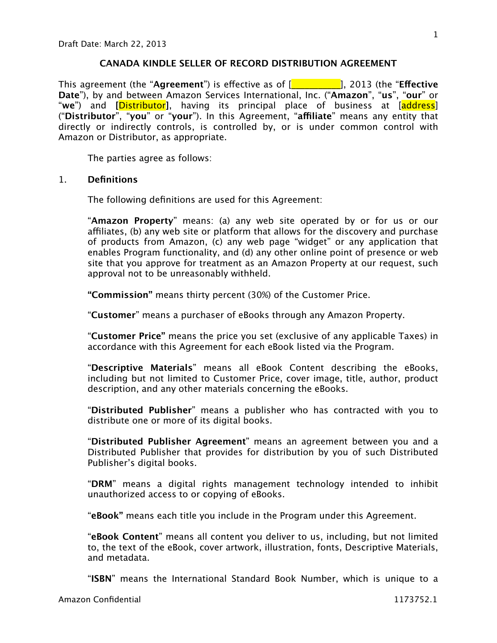# **CANADA KINDLE SELLER OF RECORD DISTRIBUTION AGREEMENT**

This agreement (the "**Agreement**") is effective as of [\_\_\_\_\_\_\_\_\_\_\_], 2013 (the "**Effective Date**"), by and between Amazon Services International, Inc. ("**Amazon**", "**us**", "**our**" or "**we**") and **[**Distributor**]**, having its principal place of business at [address] ("**Distributor**", "**you**" or "**your**"). In this Agreement, "**affiliate**" means any entity that directly or indirectly controls, is controlled by, or is under common control with Amazon or Distributor, as appropriate.

The parties agree as follows:

# 1. **Definitions**

The following definitions are used for this Agreement:

"**Amazon Property**" means: (a) any web site operated by or for us or our affiliates, (b) any web site or platform that allows for the discovery and purchase of products from Amazon, (c) any web page "widget" or any application that enables Program functionality, and (d) any other online point of presence or web site that you approve for treatment as an Amazon Property at our request, such approval not to be unreasonably withheld.

**"Commission"** means thirty percent (30%) of the Customer Price.

"**Customer**" means a purchaser of eBooks through any Amazon Property.

"**Customer Price"** means the price you set (exclusive of any applicable Taxes) in accordance with this Agreement for each eBook listed via the Program.

"**Descriptive Materials**" means all eBook Content describing the eBooks, including but not limited to Customer Price, cover image, title, author, product description, and any other materials concerning the eBooks.

"**Distributed Publisher**" means a publisher who has contracted with you to distribute one or more of its digital books.

"**Distributed Publisher Agreement**" means an agreement between you and a Distributed Publisher that provides for distribution by you of such Distributed Publisher's digital books.

"**DRM**" means a digital rights management technology intended to inhibit unauthorized access to or copying of eBooks.

"**eBook"** means each title you include in the Program under this Agreement.

"**eBook Content**" means all content you deliver to us, including, but not limited to, the text of the eBook, cover artwork, illustration, fonts, Descriptive Materials, and metadata.

"**ISBN**" means the International Standard Book Number, which is unique to a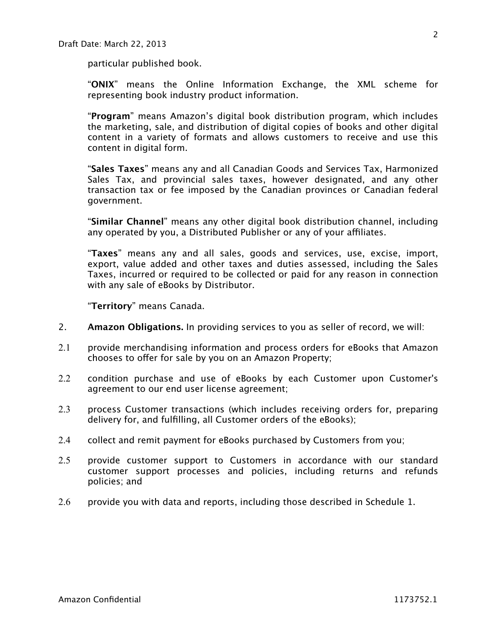particular published book.

"**ONIX**" means the Online Information Exchange, the XML scheme for representing book industry product information.

"**Program**" means Amazon's digital book distribution program, which includes the marketing, sale, and distribution of digital copies of books and other digital content in a variety of formats and allows customers to receive and use this content in digital form.

"**Sales Taxes**" means any and all Canadian Goods and Services Tax, Harmonized Sales Tax, and provincial sales taxes, however designated, and any other transaction tax or fee imposed by the Canadian provinces or Canadian federal government.

"**Similar Channel**" means any other digital book distribution channel, including any operated by you, a Distributed Publisher or any of your affiliates.

"**Taxes**" means any and all sales, goods and services, use, excise, import, export, value added and other taxes and duties assessed, including the Sales Taxes, incurred or required to be collected or paid for any reason in connection with any sale of eBooks by Distributor.

"**Territory**" means Canada.

- 2. **Amazon Obligations.** In providing services to you as seller of record, we will:
- 2.1 provide merchandising information and process orders for eBooks that Amazon chooses to offer for sale by you on an Amazon Property;
- 2.2 condition purchase and use of eBooks by each Customer upon Customer's agreement to our end user license agreement;
- 2.3 process Customer transactions (which includes receiving orders for, preparing delivery for, and fulfilling, all Customer orders of the eBooks);
- 2.4 collect and remit payment for eBooks purchased by Customers from you;
- 2.5 provide customer support to Customers in accordance with our standard customer support processes and policies, including returns and refunds policies; and
- 2.6 provide you with data and reports, including those described in Schedule 1.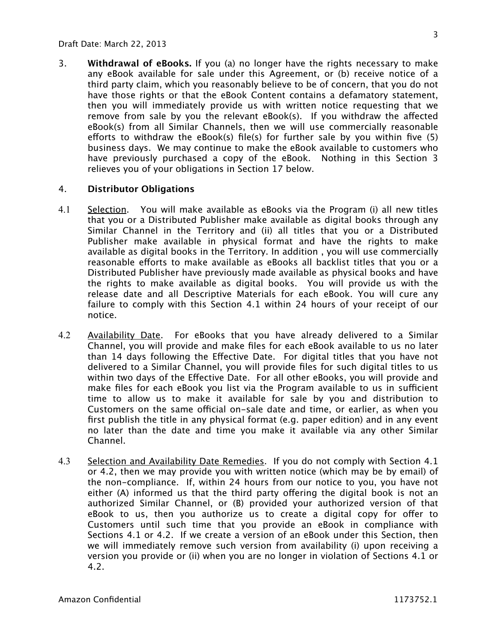3. **Withdrawal of eBooks.** If you (a) no longer have the rights necessary to make any eBook available for sale under this Agreement, or (b) receive notice of a third party claim, which you reasonably believe to be of concern, that you do not have those rights or that the eBook Content contains a defamatory statement, then you will immediately provide us with written notice requesting that we remove from sale by you the relevant eBook(s). If you withdraw the affected eBook(s) from all Similar Channels, then we will use commercially reasonable efforts to withdraw the eBook(s) file(s) for further sale by you within five (5) business days. We may continue to make the eBook available to customers who have previously purchased a copy of the eBook. Nothing in this Section 3 relieves you of your obligations in Section 17 below.

## 4. **Distributor Obligations**

- 4.1 Selection. You will make available as eBooks via the Program (i) all new titles that you or a Distributed Publisher make available as digital books through any Similar Channel in the Territory and (ii) all titles that you or a Distributed Publisher make available in physical format and have the rights to make available as digital books in the Territory. In addition , you will use commercially reasonable efforts to make available as eBooks all backlist titles that you or a Distributed Publisher have previously made available as physical books and have the rights to make available as digital books. You will provide us with the release date and all Descriptive Materials for each eBook. You will cure any failure to comply with this Section 4.1 within 24 hours of your receipt of our notice.
- 4.2 Availability Date. For eBooks that you have already delivered to a Similar Channel, you will provide and make files for each eBook available to us no later than 14 days following the Effective Date. For digital titles that you have not delivered to a Similar Channel, you will provide files for such digital titles to us within two days of the Effective Date. For all other eBooks, you will provide and make files for each eBook you list via the Program available to us in sufficient time to allow us to make it available for sale by you and distribution to Customers on the same official on-sale date and time, or earlier, as when you first publish the title in any physical format (e.g. paper edition) and in any event no later than the date and time you make it available via any other Similar Channel.
- 4.3 Selection and Availability Date Remedies. If you do not comply with Section 4.1 or 4.2, then we may provide you with written notice (which may be by email) of the non-compliance. If, within 24 hours from our notice to you, you have not either (A) informed us that the third party offering the digital book is not an authorized Similar Channel, or (B) provided your authorized version of that eBook to us, then you authorize us to create a digital copy for offer to Customers until such time that you provide an eBook in compliance with Sections 4.1 or 4.2. If we create a version of an eBook under this Section, then we will immediately remove such version from availability (i) upon receiving a version you provide or (ii) when you are no longer in violation of Sections 4.1 or 4.2.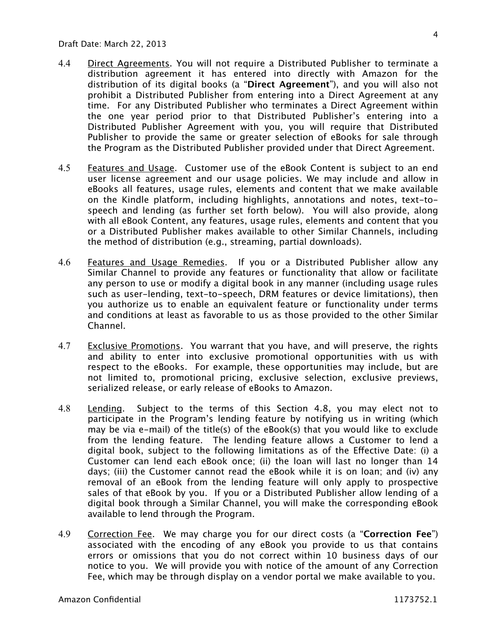- 4.4 Direct Agreements. You will not require a Distributed Publisher to terminate a distribution agreement it has entered into directly with Amazon for the distribution of its digital books (a "**Direct Agreement**"), and you will also not prohibit a Distributed Publisher from entering into a Direct Agreement at any time. For any Distributed Publisher who terminates a Direct Agreement within the one year period prior to that Distributed Publisher's entering into a Distributed Publisher Agreement with you, you will require that Distributed Publisher to provide the same or greater selection of eBooks for sale through the Program as the Distributed Publisher provided under that Direct Agreement.
- 4.5 Features and Usage. Customer use of the eBook Content is subject to an end user license agreement and our usage policies. We may include and allow in eBooks all features, usage rules, elements and content that we make available on the Kindle platform, including highlights, annotations and notes, text-tospeech and lending (as further set forth below). You will also provide, along with all eBook Content, any features, usage rules, elements and content that you or a Distributed Publisher makes available to other Similar Channels, including the method of distribution (e.g., streaming, partial downloads).
- 4.6 Features and Usage Remedies. If you or a Distributed Publisher allow any Similar Channel to provide any features or functionality that allow or facilitate any person to use or modify a digital book in any manner (including usage rules such as user-lending, text-to-speech, DRM features or device limitations), then you authorize us to enable an equivalent feature or functionality under terms and conditions at least as favorable to us as those provided to the other Similar Channel.
- 4.7 Exclusive Promotions. You warrant that you have, and will preserve, the rights and ability to enter into exclusive promotional opportunities with us with respect to the eBooks. For example, these opportunities may include, but are not limited to, promotional pricing, exclusive selection, exclusive previews, serialized release, or early release of eBooks to Amazon.
- 4.8 Lending. Subject to the terms of this Section 4.8, you may elect not to participate in the Program's lending feature by notifying us in writing (which may be via e-mail) of the title(s) of the eBook(s) that you would like to exclude from the lending feature. The lending feature allows a Customer to lend a digital book, subject to the following limitations as of the Effective Date: (i) a Customer can lend each eBook once; (ii) the loan will last no longer than 14 days; (iii) the Customer cannot read the eBook while it is on loan; and (iv) any removal of an eBook from the lending feature will only apply to prospective sales of that eBook by you. If you or a Distributed Publisher allow lending of a digital book through a Similar Channel, you will make the corresponding eBook available to lend through the Program.
- 4.9 Correction Fee. We may charge you for our direct costs (a "**Correction Fee**") associated with the encoding of any eBook you provide to us that contains errors or omissions that you do not correct within 10 business days of our notice to you. We will provide you with notice of the amount of any Correction Fee, which may be through display on a vendor portal we make available to you.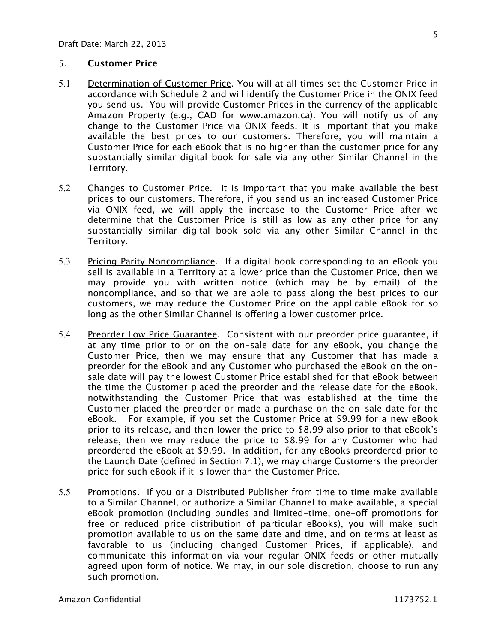## 5. **Customer Price**

- 5.1 Determination of Customer Price. You will at all times set the Customer Price in accordance with Schedule 2 and will identify the Customer Price in the ONIX feed you send us. You will provide Customer Prices in the currency of the applicable Amazon Property (e.g., CAD for www.amazon.ca). You will notify us of any change to the Customer Price via ONIX feeds. It is important that you make available the best prices to our customers. Therefore, you will maintain a Customer Price for each eBook that is no higher than the customer price for any substantially similar digital book for sale via any other Similar Channel in the Territory.
- 5.2 Changes to Customer Price. It is important that you make available the best prices to our customers. Therefore, if you send us an increased Customer Price via ONIX feed, we will apply the increase to the Customer Price after we determine that the Customer Price is still as low as any other price for any substantially similar digital book sold via any other Similar Channel in the Territory.
- 5.3 Pricing Parity Noncompliance. If a digital book corresponding to an eBook you sell is available in a Territory at a lower price than the Customer Price, then we may provide you with written notice (which may be by email) of the noncompliance, and so that we are able to pass along the best prices to our customers, we may reduce the Customer Price on the applicable eBook for so long as the other Similar Channel is offering a lower customer price.
- 5.4 Preorder Low Price Guarantee. Consistent with our preorder price guarantee, if at any time prior to or on the on-sale date for any eBook, you change the Customer Price, then we may ensure that any Customer that has made a preorder for the eBook and any Customer who purchased the eBook on the onsale date will pay the lowest Customer Price established for that eBook between the time the Customer placed the preorder and the release date for the eBook, notwithstanding the Customer Price that was established at the time the Customer placed the preorder or made a purchase on the on-sale date for the eBook. For example, if you set the Customer Price at \$9.99 for a new eBook prior to its release, and then lower the price to \$8.99 also prior to that eBook's release, then we may reduce the price to \$8.99 for any Customer who had preordered the eBook at \$9.99. In addition, for any eBooks preordered prior to the Launch Date (defined in Section 7.1), we may charge Customers the preorder price for such eBook if it is lower than the Customer Price.
- 5.5 Promotions. If you or a Distributed Publisher from time to time make available to a Similar Channel, or authorize a Similar Channel to make available, a special eBook promotion (including bundles and limited-time, one-off promotions for free or reduced price distribution of particular eBooks), you will make such promotion available to us on the same date and time, and on terms at least as favorable to us (including changed Customer Prices, if applicable), and communicate this information via your regular ONIX feeds or other mutually agreed upon form of notice. We may, in our sole discretion, choose to run any such promotion.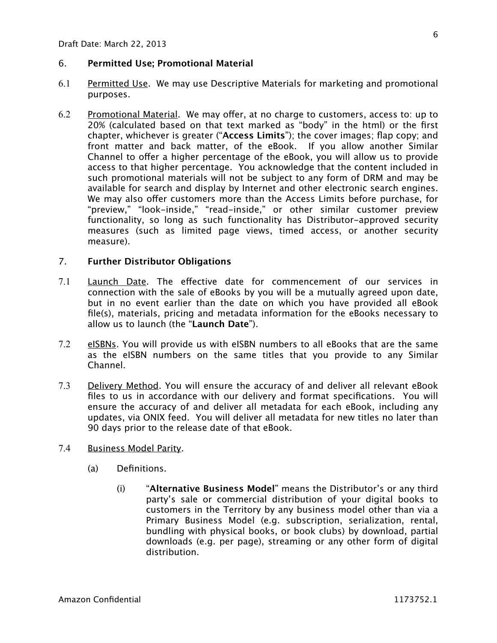# 6. **Permitted Use; Promotional Material**

- 6.1 Permitted Use. We may use Descriptive Materials for marketing and promotional purposes.
- 6.2 Promotional Material. We may offer, at no charge to customers, access to: up to 20% (calculated based on that text marked as "body" in the html) or the first chapter, whichever is greater ("**Access Limits**"); the cover images; flap copy; and front matter and back matter, of the eBook. If you allow another Similar Channel to offer a higher percentage of the eBook, you will allow us to provide access to that higher percentage. You acknowledge that the content included in such promotional materials will not be subject to any form of DRM and may be available for search and display by Internet and other electronic search engines. We may also offer customers more than the Access Limits before purchase, for "preview," "look-inside," "read-inside," or other similar customer preview functionality, so long as such functionality has Distributor-approved security measures (such as limited page views, timed access, or another security measure).

#### 7. **Further Distributor Obligations**

- 7.1 Launch Date. The effective date for commencement of our services in connection with the sale of eBooks by you will be a mutually agreed upon date, but in no event earlier than the date on which you have provided all eBook file(s), materials, pricing and metadata information for the eBooks necessary to allow us to launch (the "**Launch Date**").
- 7.2 eISBNs. You will provide us with eISBN numbers to all eBooks that are the same as the eISBN numbers on the same titles that you provide to any Similar Channel.
- 7.3 Delivery Method. You will ensure the accuracy of and deliver all relevant eBook files to us in accordance with our delivery and format specifications. You will ensure the accuracy of and deliver all metadata for each eBook, including any updates, via ONIX feed. You will deliver all metadata for new titles no later than 90 days prior to the release date of that eBook.
- 7.4 Business Model Parity.
	- (a) Definitions.
		- (i) "**Alternative Business Model**" means the Distributor's or any third party's sale or commercial distribution of your digital books to customers in the Territory by any business model other than via a Primary Business Model (e.g. subscription, serialization, rental, bundling with physical books, or book clubs) by download, partial downloads (e.g. per page), streaming or any other form of digital distribution.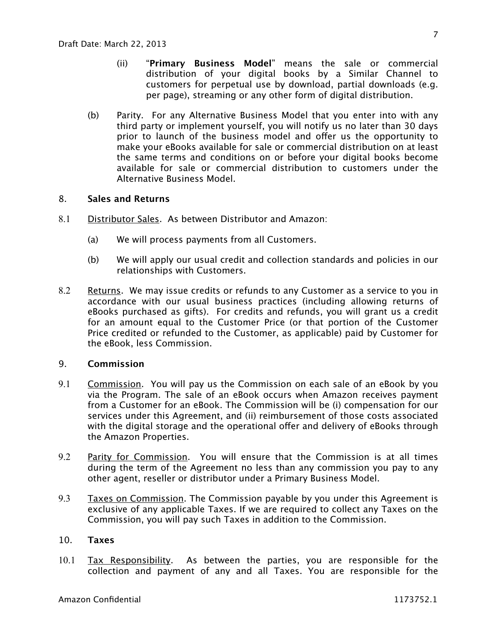- (ii) "**Primary Business Model**" means the sale or commercial distribution of your digital books by a Similar Channel to customers for perpetual use by download, partial downloads (e.g. per page), streaming or any other form of digital distribution.
- (b) Parity. For any Alternative Business Model that you enter into with any third party or implement yourself, you will notify us no later than 30 days prior to launch of the business model and offer us the opportunity to make your eBooks available for sale or commercial distribution on at least the same terms and conditions on or before your digital books become available for sale or commercial distribution to customers under the Alternative Business Model.

## 8. **Sales and Returns**

- 8.1 Distributor Sales. As between Distributor and Amazon:
	- (a) We will process payments from all Customers.
	- (b) We will apply our usual credit and collection standards and policies in our relationships with Customers.
- 8.2 Returns. We may issue credits or refunds to any Customer as a service to you in accordance with our usual business practices (including allowing returns of eBooks purchased as gifts). For credits and refunds, you will grant us a credit for an amount equal to the Customer Price (or that portion of the Customer Price credited or refunded to the Customer, as applicable) paid by Customer for the eBook, less Commission.

## 9. **Commission**

- 9.1 Commission. You will pay us the Commission on each sale of an eBook by you via the Program. The sale of an eBook occurs when Amazon receives payment from a Customer for an eBook. The Commission will be (i) compensation for our services under this Agreement, and (ii) reimbursement of those costs associated with the digital storage and the operational offer and delivery of eBooks through the Amazon Properties.
- 9.2 Parity for Commission. You will ensure that the Commission is at all times during the term of the Agreement no less than any commission you pay to any other agent, reseller or distributor under a Primary Business Model.
- 9.3 Taxes on Commission. The Commission payable by you under this Agreement is exclusive of any applicable Taxes. If we are required to collect any Taxes on the Commission, you will pay such Taxes in addition to the Commission.

## 10. **Taxes**

10.1 Tax Responsibility. As between the parties, you are responsible for the collection and payment of any and all Taxes. You are responsible for the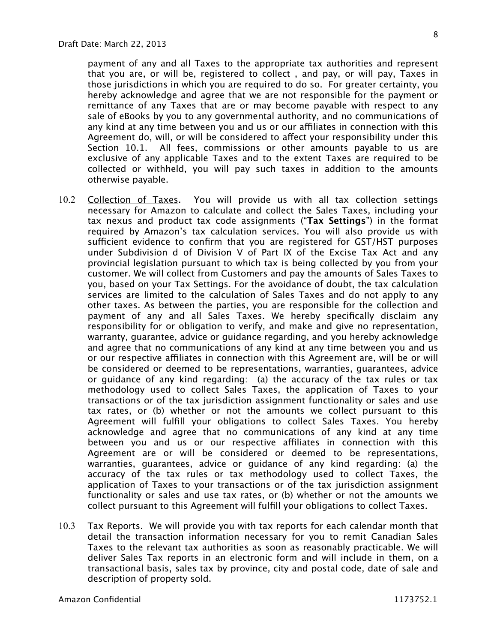payment of any and all Taxes to the appropriate tax authorities and represent that you are, or will be, registered to collect , and pay, or will pay, Taxes in those jurisdictions in which you are required to do so. For greater certainty, you hereby acknowledge and agree that we are not responsible for the payment or remittance of any Taxes that are or may become payable with respect to any sale of eBooks by you to any governmental authority, and no communications of any kind at any time between you and us or our affiliates in connection with this Agreement do, will, or will be considered to affect your responsibility under this Section 10.1. All fees, commissions or other amounts payable to us are exclusive of any applicable Taxes and to the extent Taxes are required to be collected or withheld, you will pay such taxes in addition to the amounts otherwise payable.

- 10.2 Collection of Taxes. You will provide us with all tax collection settings necessary for Amazon to calculate and collect the Sales Taxes, including your tax nexus and product tax code assignments ("**Tax Settings**") in the format required by Amazon's tax calculation services. You will also provide us with sufficient evidence to confirm that you are registered for GST/HST purposes under Subdivision d of Division V of Part IX of the Excise Tax Act and any provincial legislation pursuant to which tax is being collected by you from your customer. We will collect from Customers and pay the amounts of Sales Taxes to you, based on your Tax Settings. For the avoidance of doubt, the tax calculation services are limited to the calculation of Sales Taxes and do not apply to any other taxes. As between the parties, you are responsible for the collection and payment of any and all Sales Taxes. We hereby specifically disclaim any responsibility for or obligation to verify, and make and give no representation, warranty, guarantee, advice or guidance regarding, and you hereby acknowledge and agree that no communications of any kind at any time between you and us or our respective affiliates in connection with this Agreement are, will be or will be considered or deemed to be representations, warranties, guarantees, advice or guidance of any kind regarding: (a) the accuracy of the tax rules or tax methodology used to collect Sales Taxes, the application of Taxes to your transactions or of the tax jurisdiction assignment functionality or sales and use tax rates, or (b) whether or not the amounts we collect pursuant to this Agreement will fulfill your obligations to collect Sales Taxes. You hereby acknowledge and agree that no communications of any kind at any time between you and us or our respective affiliates in connection with this Agreement are or will be considered or deemed to be representations, warranties, guarantees, advice or guidance of any kind regarding: (a) the accuracy of the tax rules or tax methodology used to collect Taxes, the application of Taxes to your transactions or of the tax jurisdiction assignment functionality or sales and use tax rates, or (b) whether or not the amounts we collect pursuant to this Agreement will fulfill your obligations to collect Taxes.
- 10.3 Tax Reports. We will provide you with tax reports for each calendar month that detail the transaction information necessary for you to remit Canadian Sales Taxes to the relevant tax authorities as soon as reasonably practicable. We will deliver Sales Tax reports in an electronic form and will include in them, on a transactional basis, sales tax by province, city and postal code, date of sale and description of property sold.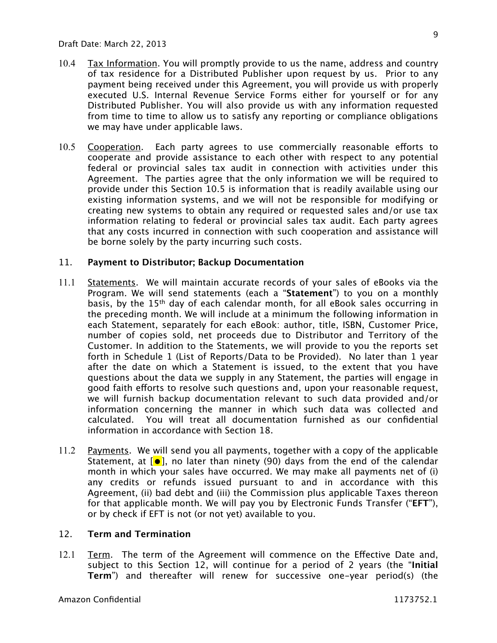- 10.4 Tax Information. You will promptly provide to us the name, address and country of tax residence for a Distributed Publisher upon request by us. Prior to any payment being received under this Agreement, you will provide us with properly executed U.S. Internal Revenue Service Forms either for yourself or for any Distributed Publisher. You will also provide us with any information requested from time to time to allow us to satisfy any reporting or compliance obligations we may have under applicable laws.
- 10.5 Cooperation. Each party agrees to use commercially reasonable efforts to cooperate and provide assistance to each other with respect to any potential federal or provincial sales tax audit in connection with activities under this Agreement. The parties agree that the only information we will be required to provide under this Section 10.5 is information that is readily available using our existing information systems, and we will not be responsible for modifying or creating new systems to obtain any required or requested sales and/or use tax information relating to federal or provincial sales tax audit. Each party agrees that any costs incurred in connection with such cooperation and assistance will be borne solely by the party incurring such costs.

## 11. **Payment to Distributor; Backup Documentation**

- 11.1 Statements. We will maintain accurate records of your sales of eBooks via the Program. We will send statements (each a "**Statement**") to you on a monthly basis, by the 15th day of each calendar month, for all eBook sales occurring in the preceding month. We will include at a minimum the following information in each Statement, separately for each eBook: author, title, ISBN, Customer Price, number of copies sold, net proceeds due to Distributor and Territory of the Customer. In addition to the Statements, we will provide to you the reports set forth in Schedule 1 (List of Reports/Data to be Provided). No later than 1 year after the date on which a Statement is issued, to the extent that you have questions about the data we supply in any Statement, the parties will engage in good faith efforts to resolve such questions and, upon your reasonable request, we will furnish backup documentation relevant to such data provided and/or information concerning the manner in which such data was collected and calculated. You will treat all documentation furnished as our confidential information in accordance with Section 18.
- 11.2 Payments. We will send you all payments, together with a copy of the applicable Statement, at  $\lbrack \bullet \rbrack$ , no later than ninety (90) days from the end of the calendar month in which your sales have occurred. We may make all payments net of (i) any credits or refunds issued pursuant to and in accordance with this Agreement, (ii) bad debt and (iii) the Commission plus applicable Taxes thereon for that applicable month. We will pay you by Electronic Funds Transfer ("**EFT**"), or by check if EFT is not (or not yet) available to you.

## 12. **Term and Termination**

12.1 Term. The term of the Agreement will commence on the Effective Date and, subject to this Section 12, will continue for a period of 2 years (the "**Initial Term**") and thereafter will renew for successive one-year period(s) (the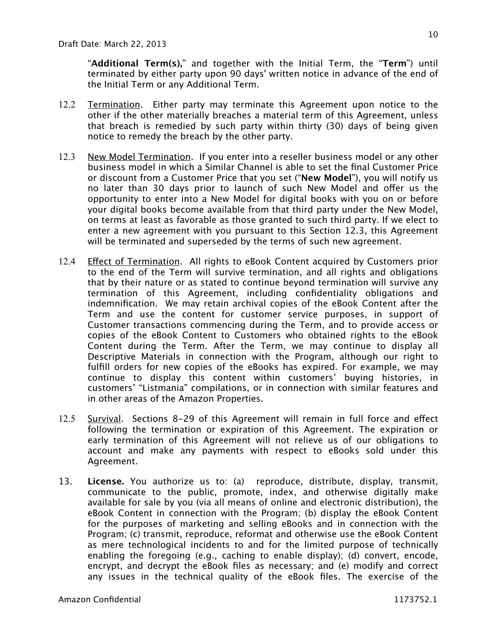"**Additional Term(s),**" and together with the Initial Term, the "**Term**") until terminated by either party upon 90 days' written notice in advance of the end of the Initial Term or any Additional Term.

- 12.2 Termination. Either party may terminate this Agreement upon notice to the other if the other materially breaches a material term of this Agreement, unless that breach is remedied by such party within thirty (30) days of being given notice to remedy the breach by the other party.
- 12.3 New Model Termination. If you enter into a reseller business model or any other business model in which a Similar Channel is able to set the final Customer Price or discount from a Customer Price that you set ("**New Model**"), you will notify us no later than 30 days prior to launch of such New Model and offer us the opportunity to enter into a New Model for digital books with you on or before your digital books become available from that third party under the New Model, on terms at least as favorable as those granted to such third party. If we elect to enter a new agreement with you pursuant to this Section 12.3, this Agreement will be terminated and superseded by the terms of such new agreement.
- 12.4 Effect of Termination. All rights to eBook Content acquired by Customers prior to the end of the Term will survive termination, and all rights and obligations that by their nature or as stated to continue beyond termination will survive any termination of this Agreement, including confidentiality obligations and indemnification. We may retain archival copies of the eBook Content after the Term and use the content for customer service purposes, in support of Customer transactions commencing during the Term, and to provide access or copies of the eBook Content to Customers who obtained rights to the eBook Content during the Term. After the Term, we may continue to display all Descriptive Materials in connection with the Program, although our right to fulfill orders for new copies of the eBooks has expired. For example, we may continue to display this content within customers' buying histories, in customers' "Listmania" compilations, or in connection with similar features and in other areas of the Amazon Properties.
- 12.5 Survival. Sections 8-29 of this Agreement will remain in full force and effect following the termination or expiration of this Agreement. The expiration or early termination of this Agreement will not relieve us of our obligations to account and make any payments with respect to eBooks sold under this Agreement.
- 13. **License.** You authorize us to: (a) reproduce, distribute, display, transmit, communicate to the public, promote, index, and otherwise digitally make available for sale by you (via all means of online and electronic distribution), the eBook Content in connection with the Program; (b) display the eBook Content for the purposes of marketing and selling eBooks and in connection with the Program; (c) transmit, reproduce, reformat and otherwise use the eBook Content as mere technological incidents to and for the limited purpose of technically enabling the foregoing (e.g., caching to enable display); (d) convert, encode, encrypt, and decrypt the eBook files as necessary; and (e) modify and correct any issues in the technical quality of the eBook files. The exercise of the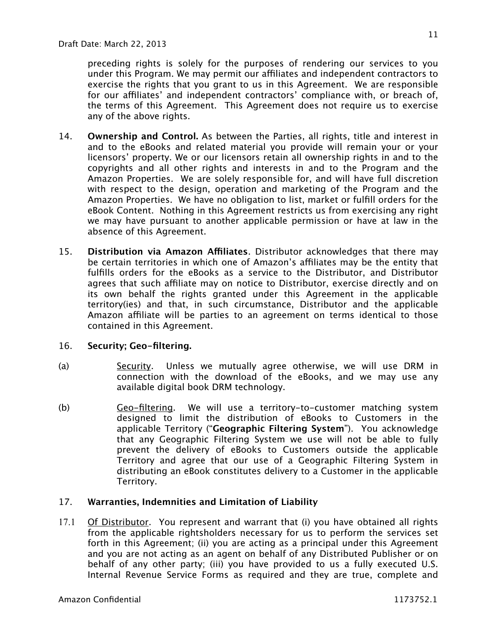preceding rights is solely for the purposes of rendering our services to you under this Program. We may permit our affiliates and independent contractors to exercise the rights that you grant to us in this Agreement. We are responsible for our affiliates' and independent contractors' compliance with, or breach of, the terms of this Agreement. This Agreement does not require us to exercise any of the above rights.

- 14. **Ownership and Control.** As between the Parties, all rights, title and interest in and to the eBooks and related material you provide will remain your or your licensors' property. We or our licensors retain all ownership rights in and to the copyrights and all other rights and interests in and to the Program and the Amazon Properties. We are solely responsible for, and will have full discretion with respect to the design, operation and marketing of the Program and the Amazon Properties. We have no obligation to list, market or fulfill orders for the eBook Content. Nothing in this Agreement restricts us from exercising any right we may have pursuant to another applicable permission or have at law in the absence of this Agreement.
- 15. **Distribution via Amazon Affiliates**. Distributor acknowledges that there may be certain territories in which one of Amazon's affiliates may be the entity that fulfills orders for the eBooks as a service to the Distributor, and Distributor agrees that such affiliate may on notice to Distributor, exercise directly and on its own behalf the rights granted under this Agreement in the applicable territory(ies) and that, in such circumstance, Distributor and the applicable Amazon affiliate will be parties to an agreement on terms identical to those contained in this Agreement.

# 16. **Security; Geo-filtering.**

- (a) Security. Unless we mutually agree otherwise, we will use DRM in connection with the download of the eBooks, and we may use any available digital book DRM technology.
- (b) Geo-filtering. We will use a territory-to-customer matching system designed to limit the distribution of eBooks to Customers in the applicable Territory ("**Geographic Filtering System**"). You acknowledge that any Geographic Filtering System we use will not be able to fully prevent the delivery of eBooks to Customers outside the applicable Territory and agree that our use of a Geographic Filtering System in distributing an eBook constitutes delivery to a Customer in the applicable Territory.

# 17. **Warranties, Indemnities and Limitation of Liability**

17.1 Of Distributor. You represent and warrant that (i) you have obtained all rights from the applicable rightsholders necessary for us to perform the services set forth in this Agreement; (ii) you are acting as a principal under this Agreement and you are not acting as an agent on behalf of any Distributed Publisher or on behalf of any other party; (iii) you have provided to us a fully executed U.S. Internal Revenue Service Forms as required and they are true, complete and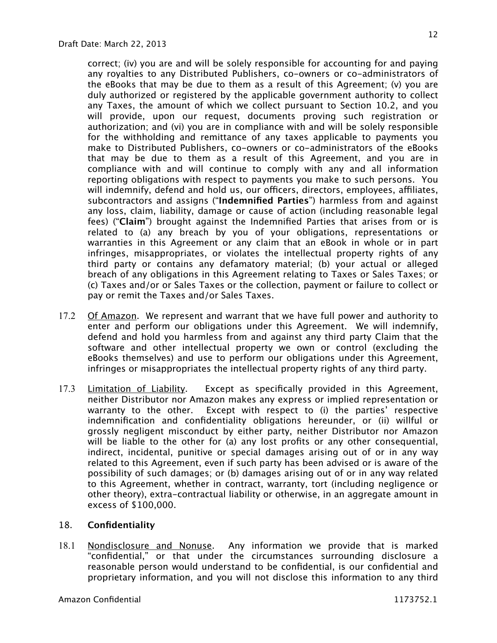correct; (iv) you are and will be solely responsible for accounting for and paying any royalties to any Distributed Publishers, co-owners or co-administrators of the eBooks that may be due to them as a result of this Agreement; (v) you are duly authorized or registered by the applicable government authority to collect any Taxes, the amount of which we collect pursuant to Section 10.2, and you will provide, upon our request, documents proving such registration or authorization; and (vi) you are in compliance with and will be solely responsible for the withholding and remittance of any taxes applicable to payments you make to Distributed Publishers, co-owners or co-administrators of the eBooks that may be due to them as a result of this Agreement, and you are in compliance with and will continue to comply with any and all information reporting obligations with respect to payments you make to such persons. You will indemnify, defend and hold us, our officers, directors, employees, affiliates, subcontractors and assigns ("**Indemnified Parties**") harmless from and against any loss, claim, liability, damage or cause of action (including reasonable legal fees) ("**Claim**") brought against the Indemnified Parties that arises from or is related to (a) any breach by you of your obligations, representations or warranties in this Agreement or any claim that an eBook in whole or in part infringes, misappropriates, or violates the intellectual property rights of any third party or contains any defamatory material; (b) your actual or alleged breach of any obligations in this Agreement relating to Taxes or Sales Taxes; or (c) Taxes and/or or Sales Taxes or the collection, payment or failure to collect or pay or remit the Taxes and/or Sales Taxes.

- 17.2 Of Amazon. We represent and warrant that we have full power and authority to enter and perform our obligations under this Agreement. We will indemnify, defend and hold you harmless from and against any third party Claim that the software and other intellectual property we own or control (excluding the eBooks themselves) and use to perform our obligations under this Agreement, infringes or misappropriates the intellectual property rights of any third party.
- 17.3 Limitation of Liability. Except as specifically provided in this Agreement, neither Distributor nor Amazon makes any express or implied representation or warranty to the other. Except with respect to (i) the parties' respective indemnification and confidentiality obligations hereunder, or (ii) willful or grossly negligent misconduct by either party, neither Distributor nor Amazon will be liable to the other for (a) any lost profits or any other consequential, indirect, incidental, punitive or special damages arising out of or in any way related to this Agreement, even if such party has been advised or is aware of the possibility of such damages; or (b) damages arising out of or in any way related to this Agreement, whether in contract, warranty, tort (including negligence or other theory), extra-contractual liability or otherwise, in an aggregate amount in excess of \$100,000.

# 18. **Confidentiality**

18.1 Nondisclosure and Nonuse. Any information we provide that is marked "confidential," or that under the circumstances surrounding disclosure a reasonable person would understand to be confidential, is our confidential and proprietary information, and you will not disclose this information to any third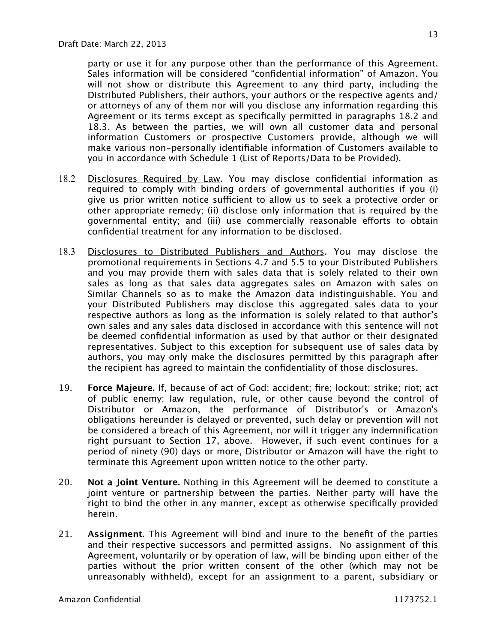party or use it for any purpose other than the performance of this Agreement. Sales information will be considered "confidential information" of Amazon. You will not show or distribute this Agreement to any third party, including the Distributed Publishers, their authors, your authors or the respective agents and/ or attorneys of any of them nor will you disclose any information regarding this Agreement or its terms except as specifically permitted in paragraphs 18.2 and 18.3. As between the parties, we will own all customer data and personal information Customers or prospective Customers provide, although we will make various non-personally identifiable information of Customers available to you in accordance with Schedule 1 (List of Reports/Data to be Provided).

- 18.2 Disclosures Required by Law. You may disclose confidential information as required to comply with binding orders of governmental authorities if you (i) give us prior written notice sufficient to allow us to seek a protective order or other appropriate remedy; (ii) disclose only information that is required by the governmental entity; and (iii) use commercially reasonable efforts to obtain confidential treatment for any information to be disclosed.
- 18.3 Disclosures to Distributed Publishers and Authors. You may disclose the promotional requirements in Sections 4.7 and 5.5 to your Distributed Publishers and you may provide them with sales data that is solely related to their own sales as long as that sales data aggregates sales on Amazon with sales on Similar Channels so as to make the Amazon data indistinguishable. You and your Distributed Publishers may disclose this aggregated sales data to your respective authors as long as the information is solely related to that author's own sales and any sales data disclosed in accordance with this sentence will not be deemed confidential information as used by that author or their designated representatives. Subject to this exception for subsequent use of sales data by authors, you may only make the disclosures permitted by this paragraph after the recipient has agreed to maintain the confidentiality of those disclosures.
- 19. **Force Majeure.** If, because of act of God; accident; fire; lockout; strike; riot; act of public enemy; law regulation, rule, or other cause beyond the control of Distributor or Amazon, the performance of Distributor's or Amazon's obligations hereunder is delayed or prevented, such delay or prevention will not be considered a breach of this Agreement, nor will it trigger any indemnification right pursuant to Section 17, above. However, if such event continues for a period of ninety (90) days or more, Distributor or Amazon will have the right to terminate this Agreement upon written notice to the other party.
- 20. **Not a Joint Venture.** Nothing in this Agreement will be deemed to constitute a joint venture or partnership between the parties. Neither party will have the right to bind the other in any manner, except as otherwise specifically provided herein.
- 21. **Assignment.** This Agreement will bind and inure to the benefit of the parties and their respective successors and permitted assigns. No assignment of this Agreement, voluntarily or by operation of law, will be binding upon either of the parties without the prior written consent of the other (which may not be unreasonably withheld), except for an assignment to a parent, subsidiary or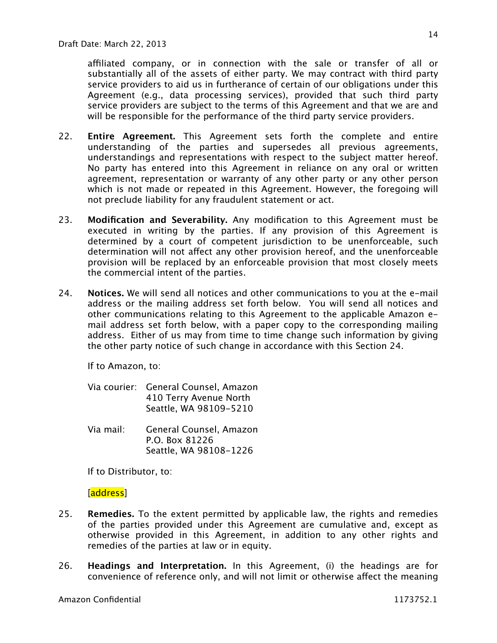affiliated company, or in connection with the sale or transfer of all or substantially all of the assets of either party. We may contract with third party service providers to aid us in furtherance of certain of our obligations under this Agreement (e.g., data processing services), provided that such third party service providers are subject to the terms of this Agreement and that we are and will be responsible for the performance of the third party service providers.

- 22. **Entire Agreement.** This Agreement sets forth the complete and entire understanding of the parties and supersedes all previous agreements, understandings and representations with respect to the subject matter hereof. No party has entered into this Agreement in reliance on any oral or written agreement, representation or warranty of any other party or any other person which is not made or repeated in this Agreement. However, the foregoing will not preclude liability for any fraudulent statement or act.
- 23. **Modification and Severability.** Any modification to this Agreement must be executed in writing by the parties. If any provision of this Agreement is determined by a court of competent jurisdiction to be unenforceable, such determination will not affect any other provision hereof, and the unenforceable provision will be replaced by an enforceable provision that most closely meets the commercial intent of the parties.
- 24. **Notices.** We will send all notices and other communications to you at the e-mail address or the mailing address set forth below. You will send all notices and other communications relating to this Agreement to the applicable Amazon email address set forth below, with a paper copy to the corresponding mailing address. Either of us may from time to time change such information by giving the other party notice of such change in accordance with this Section 24.

If to Amazon, to:

| Via courier: General Counsel, Amazon |
|--------------------------------------|
| 410 Terry Avenue North               |
| Seattle, WA 98109-5210               |

Via mail: General Counsel, Amazon P.O. Box 81226 Seattle, WA 98108-1226

If to Distributor, to:

[address]

- 25. **Remedies.** To the extent permitted by applicable law, the rights and remedies of the parties provided under this Agreement are cumulative and, except as otherwise provided in this Agreement, in addition to any other rights and remedies of the parties at law or in equity.
- 26. **Headings and Interpretation.** In this Agreement, (i) the headings are for convenience of reference only, and will not limit or otherwise affect the meaning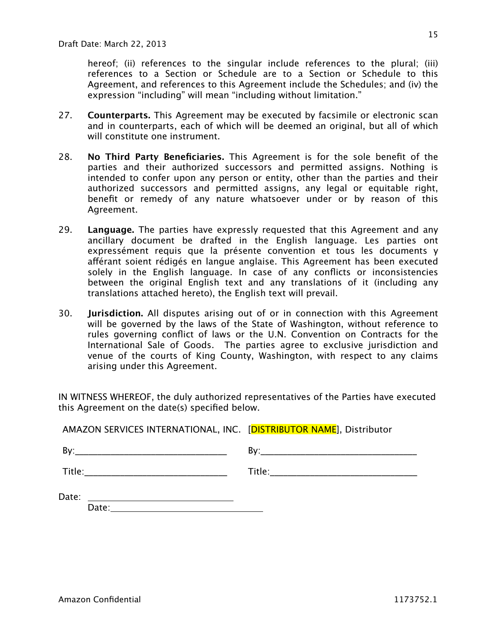hereof; (ii) references to the singular include references to the plural; (iii) references to a Section or Schedule are to a Section or Schedule to this Agreement, and references to this Agreement include the Schedules; and (iv) the expression "including" will mean "including without limitation."

- 27. **Counterparts.** This Agreement may be executed by facsimile or electronic scan and in counterparts, each of which will be deemed an original, but all of which will constitute one instrument.
- 28. **No Third Party Beneficiaries.** This Agreement is for the sole benefit of the parties and their authorized successors and permitted assigns. Nothing is intended to confer upon any person or entity, other than the parties and their authorized successors and permitted assigns, any legal or equitable right, benefit or remedy of any nature whatsoever under or by reason of this Agreement.
- 29. **Language.** The parties have expressly requested that this Agreement and any ancillary document be drafted in the English language. Les parties ont expressément requis que la présente convention et tous les documents y afférant soient rédigés en langue anglaise. This Agreement has been executed solely in the English language. In case of any conflicts or inconsistencies between the original English text and any translations of it (including any translations attached hereto), the English text will prevail.
- 30. **Jurisdiction.** All disputes arising out of or in connection with this Agreement will be governed by the laws of the State of Washington, without reference to rules governing conflict of laws or the U.N. Convention on Contracts for the International Sale of Goods. The parties agree to exclusive jurisdiction and venue of the courts of King County, Washington, with respect to any claims arising under this Agreement.

IN WITNESS WHEREOF, the duly authorized representatives of the Parties have executed this Agreement on the date(s) specified below.

| AMAZON SERVICES INTERNATIONAL, INC. [DISTRIBUTOR NAME], Distributor                                                                                                                                                                 |  |
|-------------------------------------------------------------------------------------------------------------------------------------------------------------------------------------------------------------------------------------|--|
|                                                                                                                                                                                                                                     |  |
| <b>Title:</b> Title: The Communication of the Communication of the Communication of the Communication of the Communication of the Communication of the Communication of the Communication of the Communication of the Communication |  |
| Date:<br><u> 1989 - Johann Harry Harry Harry Harry Harry Harry Harry Harry Harry Harry Harry Harry Harry Harry Harry Harry</u>                                                                                                      |  |
|                                                                                                                                                                                                                                     |  |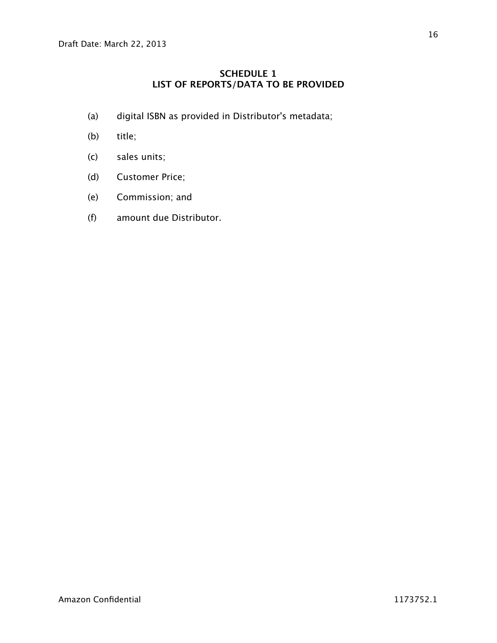# **SCHEDULE 1 LIST OF REPORTS/DATA TO BE PROVIDED**

- (a) digital ISBN as provided in Distributor's metadata;
- (b) title;
- (c) sales units;
- (d) Customer Price;
- (e) Commission; and
- (f) amount due Distributor.